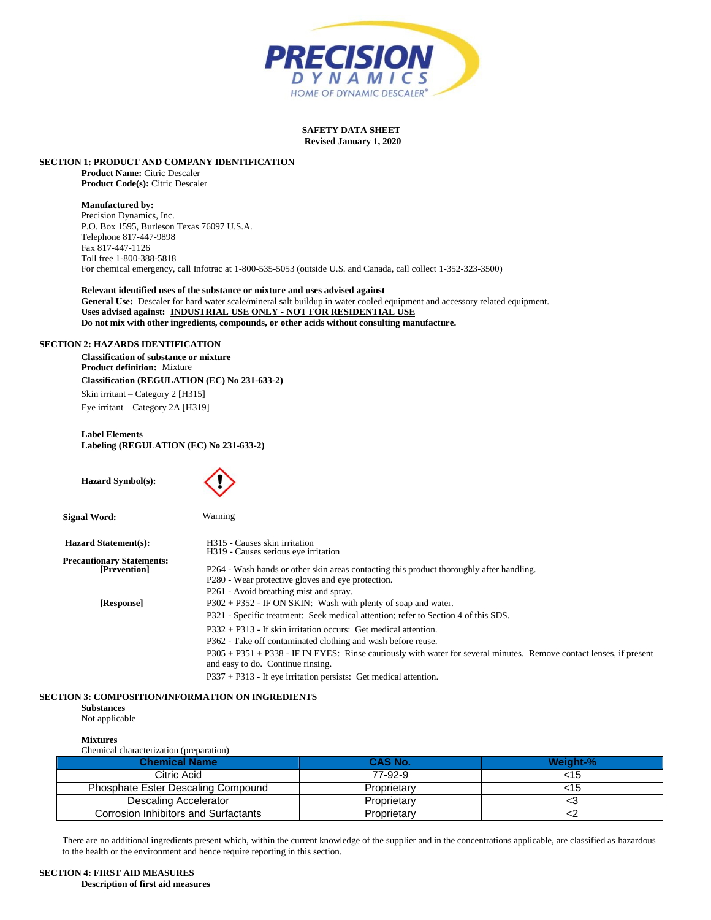

### **SAFETY DATA SHEET Revised January 1, 2020**

### **SECTION 1: PRODUCT AND COMPANY IDENTIFICATION**

**Product Name:** Citric Descaler **Product Code(s):** Citric Descaler

### **Manufactured by:**

Precision Dynamics, Inc. P.O. Box 1595, Burleson Texas 76097 U.S.A. Telephone 817-447-9898 Fax 817-447-1126 Toll free 1-800-388-5818 For chemical emergency, call Infotrac at 1-800-535-5053 (outside U.S. and Canada, call collect 1-352-323-3500)

**Relevant identified uses of the substance or mixture and uses advised against General Use:** Descaler for hard water scale/mineral salt buildup in water cooled equipment and accessory related equipment. **Uses advised against: INDUSTRIAL USE ONLY - NOT FOR RESIDENTIAL USE Do not mix with other ingredients, compounds, or other acids without consulting manufacture.**

### **SECTION 2: HAZARDS IDENTIFICATION**

**Classification of substance or mixture Product definition:** Mixture **Classification (REGULATION (EC) No 231-633-2)** Skin irritant – Category 2 [H315] Eye irritant – Category 2A [H319]

### **Label Elements Labeling (REGULATION (EC) No 231-633-2)**

 **Hazard Symbol(s): Signal Word:** Warning Hazard Statement(s): **H315** - Causes skin irritation H319 - Causes serious eye irritation **Precautionary Statements:** P264 - Wash hands or other skin areas contacting this product thoroughly after handling. P280 - Wear protective gloves and eye protection. P261 - Avoid breathing mist and spray.  **[Response]** P302 + P352 - IF ON SKIN: Wash with plenty of soap and water. P321 - Specific treatment: Seek medical attention; refer to Section 4 of this SDS. P332 + P313 - If skin irritation occurs: Get medical attention. P362 - Take off contaminated clothing and wash before reuse. P305 + P351 + P338 - IF IN EYES: Rinse cautiously with water for several minutes. Remove contact lenses, if present and easy to do. Continue rinsing. P337 + P313 - If eye irritation persists: Get medical attention.

### **SECTION 3: COMPOSITION/INFORMATION ON INGREDIENTS**

**Substances** Not applicable

### **Mixtures**

| Chemical characterization (preparation)   |             |          |
|-------------------------------------------|-------------|----------|
| <b>Chemical Name</b>                      | CAS No.     | Weight-% |
| Citric Acid                               | 77-92-9     | <15      |
| <b>Phosphate Ester Descaling Compound</b> | Proprietary | <15      |
| Descaling Accelerator                     | Proprietary |          |
| Corrosion Inhibitors and Surfactants      | Proprietary |          |

There are no additional ingredients present which, within the current knowledge of the supplier and in the concentrations applicable, are classified as hazardous to the health or the environment and hence require reporting in this section.

# **SECTION 4: FIRST AID MEASURES**

**Description of first aid measures**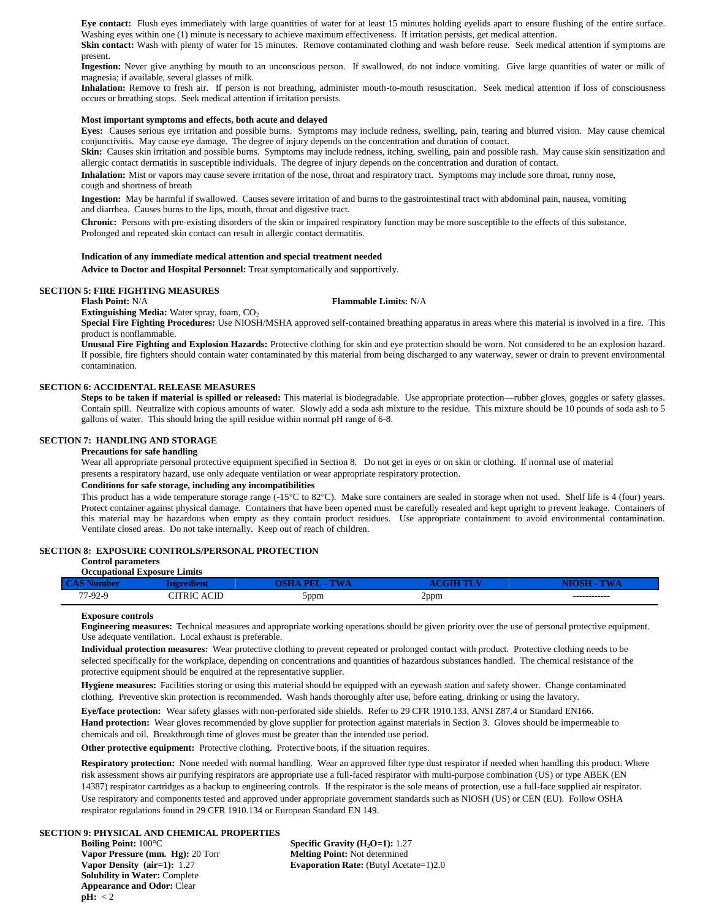**Eye contact:** Flush eyes immediately with large quantities of water for at least 15 minutes holding eyelids apart to ensure flushing of the entire surface. Washing eyes within one (1) minute is necessary to achieve maximum effectiveness. If irritation persists, get medical attention.

Skin contact: Wash with plenty of water for 15 minutes. Remove contaminated clothing and wash before reuse. Seek medical attention if symptoms are present.

Ingestion: Never give anything by mouth to an unconscious person. If swallowed, do not induce vomiting. Give large quantities of water or milk of magnesia; if available, several glasses of milk.

**Inhalation:** Remove to fresh air. If person is not breathing, administer mouth-to-mouth resuscitation. Seek medical attention if loss of consciousness occurs or breathing stops. Seek medical attention if irritation persists.

### **Most important symptoms and effects, both acute and delayed**

**Eyes:** Causes serious eye irritation and possible burns. Symptoms may include redness, swelling, pain, tearing and blurred vision. May cause chemical conjunctivitis. May cause eye damage. The degree of injury depends on the concentration and duration of contact.

Skin: Causes skin irritation and possible burns. Symptoms may include redness, itching, swelling, pain and possible rash. May cause skin sensitization and allergic contact dermatitis in susceptible individuals. The degree of injury depends on the concentration and duration of contact.

Inhalation: Mist or vapors may cause severe irritation of the nose, throat and respiratory tract. Symptoms may include sore throat, runny nose, cough and shortness of breath

**Ingestion:** May be harmful if swallowed. Causes severe irritation of and burns to the gastrointestinal tract with abdominal pain, nausea, vomiting and diarrhea. Causes burns to the lips, mouth, throat and digestive tract.

**Chronic:** Persons with pre-existing disorders of the skin or impaired respiratory function may be more susceptible to the effects of this substance. Prolonged and repeated skin contact can result in allergic contact dermatitis.

#### **Indication of any immediate medical attention and special treatment needed**

**Advice to Doctor and Hospital Personnel:** Treat symptomatically and supportively.

### **SECTION 5: FIRE FIGHTING MEASURES**

### **Flash Point:** N/A **Flammable Limits:** N/A

**Extinguishing Media:** Water spray, foam, CO<sub>2</sub>

**Special Fire Fighting Procedures:** Use NIOSH/MSHA approved self-contained breathing apparatus in areas where this material is involved in a fire. This product is nonflammable.

**Unusual Fire Fighting and Explosion Hazards:** Protective clothing for skin and eye protection should be worn. Not considered to be an explosion hazard. If possible, fire fighters should contain water contaminated by this material from being discharged to any waterway, sewer or drain to prevent environmental contamination.

### **SECTION 6: ACCIDENTAL RELEASE MEASURES**

**Steps to be taken if material is spilled or released:** This material is biodegradable. Use appropriate protection—rubber gloves, goggles or safety glasses. Contain spill. Neutralize with copious amounts of water. Slowly add a soda ash mixture to the residue. This mixture should be 10 pounds of soda ash to 5 gallons of water. This should bring the spill residue within normal pH range of 6-8.

### **SECTION 7: HANDLING AND STORAGE**

### **Precautions for safe handling**

Wear all appropriate personal protective equipment specified in Section 8. Do not get in eyes or on skin or clothing. If normal use of material

## presents a respiratory hazard, use only adequate ventilation or wear appropriate respiratory protection.

### **Conditions for safe storage, including any incompatibilities**

This product has a wide temperature storage range (-15°C to 82°C). Make sure containers are sealed in storage when not used. Shelf life is 4 (four) years. Protect container against physical damage. Containers that have been opened must be carefully resealed and kept upright to prevent leakage. Containers of this material may be hazardous when empty as they contain product residues. Use appropriate containment to avoid environmental contamination. Ventilate closed areas. Do not take internally. Keep out of reach of children.

### **SECTION 8: EXPOSURE CONTROLS/PERSONAL PROTECTION**

#### **Control parameters Occupational Exposure Limits**

| $\sim$ $\sim$ |              |                   |      |              |
|---------------|--------------|-------------------|------|--------------|
| 77-92-9       | ACID<br>RIC. | hppm.<br>$\cdots$ | 2ppm | ------------ |

#### **Exposure controls**

**Engineering measures:** Technical measures and appropriate working operations should be given priority over the use of personal protective equipment. Use adequate ventilation. Local exhaust is preferable.

**Individual protection measures:** Wear protective clothing to prevent repeated or prolonged contact with product. Protective clothing needs to be selected specifically for the workplace, depending on concentrations and quantities of hazardous substances handled. The chemical resistance of the protective equipment should be enquired at the representative supplier.

**Hygiene measures:** Facilities storing or using this material should be equipped with an eyewash station and safety shower. Change contaminated clothing. Preventive skin protection is recommended. Wash hands thoroughly after use, before eating, drinking or using the lavatory.

**Eye/face protection:** Wear safety glasses with non-perforated side shields. Refer to 29 CFR 1910.133, ANSI Z87.4 or Standard EN166. **Hand protection:** Wear gloves recommended by glove supplier for protection against materials in Section 3. Gloves should be impermeable to chemicals and oil. Breakthrough time of gloves must be greater than the intended use period.

**Other protective equipment:** Protective clothing. Protective boots, if the situation requires.

**Respiratory protection:** None needed with normal handling. Wear an approved filter type dust respirator if needed when handling this product. Where risk assessment shows air purifying respirators are appropriate use a full-faced respirator with multi-purpose combination (US) or type ABEK (EN 14387) respirator cartridges as a backup to engineering controls. If the respirator is the sole means of protection, use a full-face supplied air respirator. Use respiratory and components tested and approved under appropriate government standards such as NIOSH (US) or CEN (EU). Follow OSHA respirator regulations found in 29 CFR 1910.134 or European Standard EN 149.

#### **SECTION 9: PHYSICAL AND CHEMICAL PROPERTIES**

**Boiling Point:** 100°C **Specific Gravity (H<sub>2</sub>O=1):** 1.27 **Vapor Pressure (mm. Hg):** 20 Torr **Melting Point:** Not determined **Solubility in Water:** Complete **Appearance and Odor:** Clear  $pH: < 2$ 

**Vapor Density (air=1):** 1.27 **Evaporation Rate:** (Butyl Acetate=1)2.0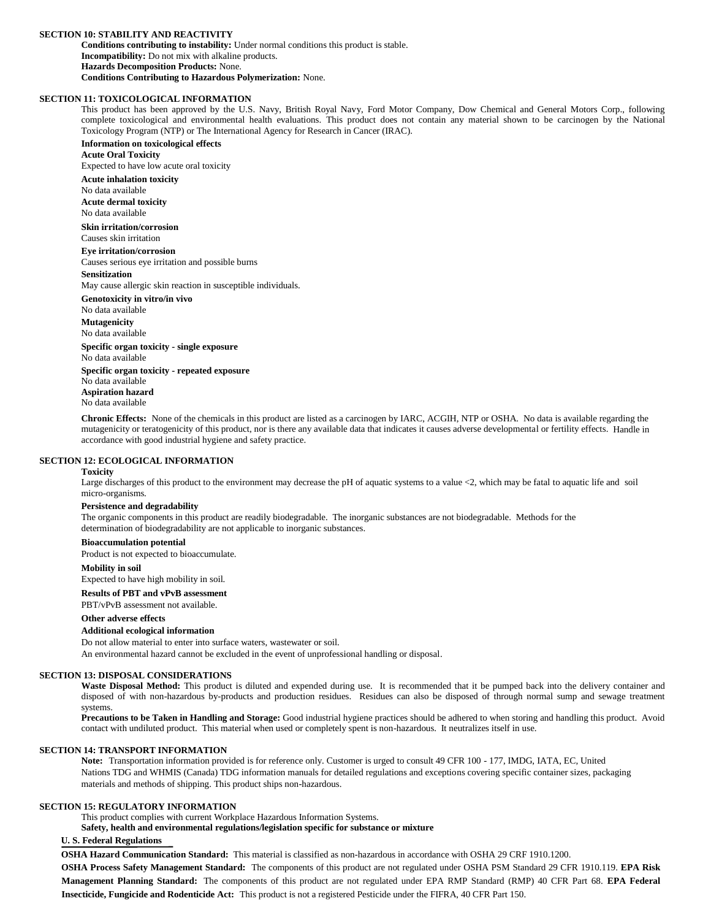### **SECTION 10: STABILITY AND REACTIVITY**

**Conditions contributing to instability:** Under normal conditions this product is stable. **Incompatibility:** Do not mix with alkaline products. **Hazards Decomposition Products:** None. **Conditions Contributing to Hazardous Polymerization:** None.

### **SECTION 11: TOXICOLOGICAL INFORMATION**

This product has been approved by the U.S. Navy, British Royal Navy, Ford Motor Company, Dow Chemical and General Motors Corp., following complete toxicological and environmental health evaluations. This product does not contain any material shown to be carcinogen by the National Toxicology Program (NTP) or The International Agency for Research in Cancer (IRAC).

**Information on toxicological effects Acute Oral Toxicity** Expected to have low acute oral toxicity **Acute inhalation toxicity** No data available **Acute dermal toxicity** No data available **Skin irritation/corrosion** Causes skin irritation **Eye irritation/corrosion** Causes serious eye irritation and possible burns **Sensitization** May cause allergic skin reaction in susceptible individuals. **Genotoxicity in vitro/in vivo** No data available **Mutagenicity** No data available **Specific organ toxicity - single exposure** No data available **Specific organ toxicity - repeated exposure** No data available **Aspiration hazard** No data available

**Chronic Effects:** None of the chemicals in this product are listed as a carcinogen by IARC, ACGIH, NTP or OSHA. No data is available regarding the mutagenicity or teratogenicity of this product, nor is there any available data that indicates it causes adverse developmental or fertility effects. Handle in accordance with good industrial hygiene and safety practice.

### **SECTION 12: ECOLOGICAL INFORMATION**

#### **Toxicity**

Large discharges of this product to the environment may decrease the pH of aquatic systems to a value <2, which may be fatal to aquatic life and soil micro-organisms.

### **Persistence and degradability**

The organic components in this product are readily biodegradable. The inorganic substances are not biodegradable. Methods for the determination of biodegradability are not applicable to inorganic substances.

#### **Bioaccumulation potential**

Product is not expected to bioaccumulate.

### **Mobility in soil**

Expected to have high mobility in soil.

#### **Results of PBT and vPvB assessment**

PBT/vPvB assessment not available.

### **Other adverse effects**

### **Additional ecological information**

Do not allow material to enter into surface waters, wastewater or soil.

An environmental hazard cannot be excluded in the event of unprofessional handling or disposal.

### **SECTION 13: DISPOSAL CONSIDERATIONS**

**Waste Disposal Method:** This product is diluted and expended during use. It is recommended that it be pumped back into the delivery container and disposed of with non-hazardous by-products and production residues. Residues can also be disposed of through normal sump and sewage treatment systems.

**Precautions to be Taken in Handling and Storage:** Good industrial hygiene practices should be adhered to when storing and handling this product. Avoid contact with undiluted product. This material when used or completely spent is non-hazardous. It neutralizes itself in use.

#### **SECTION 14: TRANSPORT INFORMATION**

**Note:** Transportation information provided is for reference only. Customer is urged to consult 49 CFR 100 - 177, IMDG, IATA, EC, United Nations TDG and WHMIS (Canada) TDG information manuals for detailed regulations and exceptions covering specific container sizes, packaging materials and methods of shipping. This product ships non-hazardous.

#### **SECTION 15: REGULATORY INFORMATION**

This product complies with current Workplace Hazardous Information Systems.

**Safety, health and environmental regulations/legislation specific for substance or mixture**

### **U. S. Federal Regulations**

**OSHA Hazard Communication Standard:** This material is classified as non-hazardous in accordance with OSHA 29 CRF 1910.1200.

**OSHA Process Safety Management Standard:** The components of this product are not regulated under OSHA PSM Standard 29 CFR 1910.119. **EPA Risk Management Planning Standard:** The components of this product are not regulated under EPA RMP Standard (RMP) 40 CFR Part 68. **EPA Federal Insecticide, Fungicide and Rodenticide Act:** This product is not a registered Pesticide under the FIFRA, 40 CFR Part 150.